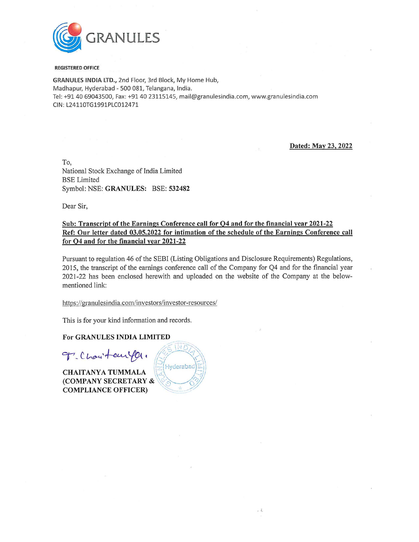

#### REGISTERED OFFICE

GRANULES INDIA LTD., 2nd Floor, 3rd Block, My Home Hub, Madhapur, Hyderabad - 500 081, Telangana, India. Tel: +91 40 69043500, Fax: +91 40 23115145, mail@granulesindia.com, www.granulesindia.com CIN: L24110TG1991PLC012471

Dated: May 23, 2022

To, National Stock Exchange of India Limited BSE Limited Symbol: NSE: GRANULES: BSE: 532482

Dear Sir,

#### Sub: Transcript of the Earnings Conference call for Q4 and for the financial year 2021-22 Ref: Our letter dated 03.05.2022 for intimation of the schedule of the Earnings Conference call for Q4 and for the financial year 2021-22

Pursuant to regulation 46 of the SEBI (Listing Obligations and Disclosure Requirements) Regulations, 2015, the transcript of the earnings conference call of the Company for Q4 and for the financial year 2021-22 has been enclosed herewith and uploaded on the website of the Company at the belowmentioned link: To,<br>National Stock Exchange of India Limited<br>BSE Limited<br>Symbol: NSE: GRANULES: BSE: 532482<br>Dear Sir,<br>Sub: Transcript of the Earnings Conference call for<br>Ref: Our letter dated 03.05.2022 for intimation of t<br>for Q4 and for

 $\ddot{i}$ 

This is for your kind information and records.

CHAITANYA TUMMALA \\' i} (COMPANY SECRETARY & COMPLIANCE OFFICER)

For GRANULES INDIA LIMITED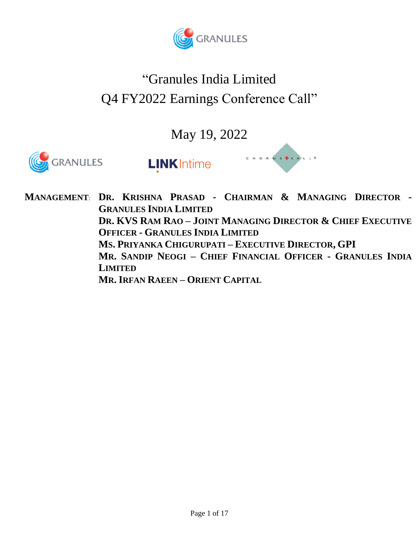

# "Granules India Limited Q4 FY2022 Earnings Conference Call"

May 19, 2022



**MANAGEMENT**: **DR. KRISHNA PRASAD - CHAIRMAN & MANAGING DIRECTOR - GRANULES INDIA LIMITED DR. KVS RAM RAO – JOINT MANAGING DIRECTOR & CHIEF EXECUTIVE OFFICER - GRANULES INDIA LIMITED MS. PRIYANKA CHIGURUPATI – EXECUTIVE DIRECTOR, GPI MR. SANDIP NEOGI – CHIEF FINANCIAL OFFICER - GRANULES INDIA LIMITED MR. IRFAN RAEEN – ORIENT CAPITAL**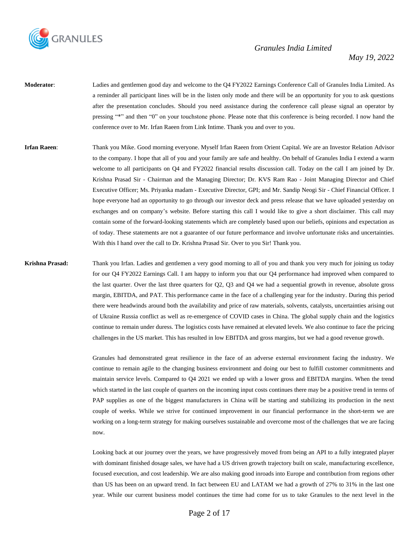

- **Moderator**: Ladies and gentlemen good day and welcome to the Q4 FY2022 Earnings Conference Call of Granules India Limited. As a reminder all participant lines will be in the listen only mode and there will be an opportunity for you to ask questions after the presentation concludes. Should you need assistance during the conference call please signal an operator by pressing "\*" and then "0" on your touchstone phone. Please note that this conference is being recorded. I now hand the conference over to Mr. Irfan Raeen from Link Intime. Thank you and over to you.
- **Irfan Raeen**: Thank you Mike. Good morning everyone. Myself Irfan Raeen from Orient Capital. We are an Investor Relation Advisor to the company. I hope that all of you and your family are safe and healthy. On behalf of Granules India I extend a warm welcome to all participants on Q4 and FY2022 financial results discussion call. Today on the call I am joined by Dr. Krishna Prasad Sir - Chairman and the Managing Director; Dr. KVS Ram Rao - Joint Managing Director and Chief Executive Officer; Ms. Priyanka madam - Executive Director, GPI; and Mr. Sandip Neogi Sir - Chief Financial Officer. I hope everyone had an opportunity to go through our investor deck and press release that we have uploaded yesterday on exchanges and on company's website. Before starting this call I would like to give a short disclaimer. This call may contain some of the forward-looking statements which are completely based upon our beliefs, opinions and expectation as of today. These statements are not a guarantee of our future performance and involve unfortunate risks and uncertainties. With this I hand over the call to Dr. Krishna Prasad Sir. Over to you Sir! Thank you.

**Krishna Prasad:** Thank you Irfan. Ladies and gentlemen a very good morning to all of you and thank you very much for joining us today for our Q4 FY2022 Earnings Call. I am happy to inform you that our Q4 performance had improved when compared to the last quarter. Over the last three quarters for Q2, Q3 and Q4 we had a sequential growth in revenue, absolute gross margin, EBITDA, and PAT. This performance came in the face of a challenging year for the industry. During this period there were headwinds around both the availability and price of raw materials, solvents, catalysts, uncertainties arising out of Ukraine Russia conflict as well as re-emergence of COVID cases in China. The global supply chain and the logistics continue to remain under duress. The logistics costs have remained at elevated levels. We also continue to face the pricing challenges in the US market. This has resulted in low EBITDA and gross margins, but we had a good revenue growth.

> Granules had demonstrated great resilience in the face of an adverse external environment facing the industry. We continue to remain agile to the changing business environment and doing our best to fulfill customer commitments and maintain service levels. Compared to Q4 2021 we ended up with a lower gross and EBITDA margins. When the trend which started in the last couple of quarters on the incoming input costs continues there may be a positive trend in terms of PAP supplies as one of the biggest manufacturers in China will be starting and stabilizing its production in the next couple of weeks. While we strive for continued improvement in our financial performance in the short-term we are working on a long-term strategy for making ourselves sustainable and overcome most of the challenges that we are facing now.

> Looking back at our journey over the years, we have progressively moved from being an API to a fully integrated player with dominant finished dosage sales, we have had a US driven growth trajectory built on scale, manufacturing excellence, focused execution, and cost leadership. We are also making good inroads into Europe and contribution from regions other than US has been on an upward trend. In fact between EU and LATAM we had a growth of 27% to 31% in the last one year. While our current business model continues the time had come for us to take Granules to the next level in the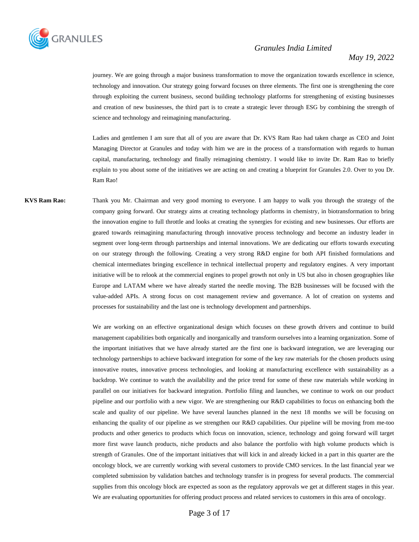

journey. We are going through a major business transformation to move the organization towards excellence in science, technology and innovation. Our strategy going forward focuses on three elements. The first one is strengthening the core through exploiting the current business, second building technology platforms for strengthening of existing businesses and creation of new businesses, the third part is to create a strategic lever through ESG by combining the strength of science and technology and reimagining manufacturing.

Ladies and gentlemen I am sure that all of you are aware that Dr. KVS Ram Rao had taken charge as CEO and Joint Managing Director at Granules and today with him we are in the process of a transformation with regards to human capital, manufacturing, technology and finally reimagining chemistry. I would like to invite Dr. Ram Rao to briefly explain to you about some of the initiatives we are acting on and creating a blueprint for Granules 2.0. Over to you Dr. Ram Rao!

**KVS Ram Rao:** Thank you Mr. Chairman and very good morning to everyone. I am happy to walk you through the strategy of the company going forward. Our strategy aims at creating technology platforms in chemistry, in biotransformation to bring the innovation engine to full throttle and looks at creating the synergies for existing and new businesses. Our efforts are geared towards reimagining manufacturing through innovative process technology and become an industry leader in segment over long-term through partnerships and internal innovations. We are dedicating our efforts towards executing on our strategy through the following. Creating a very strong R&D engine for both API finished formulations and chemical intermediates bringing excellence in technical intellectual property and regulatory engines. A very important initiative will be to relook at the commercial engines to propel growth not only in US but also in chosen geographies like Europe and LATAM where we have already started the needle moving. The B2B businesses will be focused with the value-added APIs. A strong focus on cost management review and governance. A lot of creation on systems and processes for sustainability and the last one is technology development and partnerships.

> We are working on an effective organizational design which focuses on these growth drivers and continue to build management capabilities both organically and inorganically and transform ourselves into a learning organization. Some of the important initiatives that we have already started are the first one is backward integration, we are leveraging our technology partnerships to achieve backward integration for some of the key raw materials for the chosen products using innovative routes, innovative process technologies, and looking at manufacturing excellence with sustainability as a backdrop. We continue to watch the availability and the price trend for some of these raw materials while working in parallel on our initiatives for backward integration. Portfolio filing and launches, we continue to work on our product pipeline and our portfolio with a new vigor. We are strengthening our R&D capabilities to focus on enhancing both the scale and quality of our pipeline. We have several launches planned in the next 18 months we will be focusing on enhancing the quality of our pipeline as we strengthen our R&D capabilities. Our pipeline will be moving from me-too products and other generics to products which focus on innovation, science, technology and going forward will target more first wave launch products, niche products and also balance the portfolio with high volume products which is strength of Granules. One of the important initiatives that will kick in and already kicked in a part in this quarter are the oncology block, we are currently working with several customers to provide CMO services. In the last financial year we completed submission by validation batches and technology transfer is in progress for several products. The commercial supplies from this oncology block are expected as soon as the regulatory approvals we get at different stages in this year. We are evaluating opportunities for offering product process and related services to customers in this area of oncology.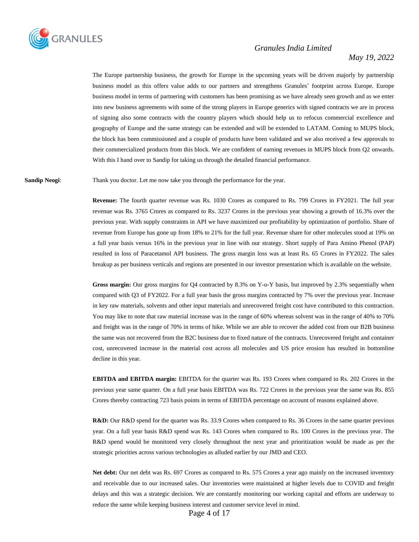

#### *May 19, 2022*

The Europe partnership business, the growth for Europe in the upcoming years will be driven majorly by partnership business model as this offers value adds to our partners and strengthens Granules' footprint across Europe. Europe business model in terms of partnering with customers has been promising as we have already seen growth and as we enter into new business agreements with some of the strong players in Europe generics with signed contracts we are in process of signing also some contracts with the country players which should help us to refocus commercial excellence and geography of Europe and the same strategy can be extended and will be extended to LATAM. Coming to MUPS block, the block has been commissioned and a couple of products have been validated and we also received a few approvals to their commercialized products from this block. We are confident of earning revenues in MUPS block from Q2 onwards. With this I hand over to Sandip for taking us through the detailed financial performance.

**Sandip Neogi:** Thank you doctor. Let me now take you through the performance for the year.

**Revenue:** The fourth quarter revenue was Rs. 1030 Crores as compared to Rs. 799 Crores in FY2021. The full year revenue was Rs. 3765 Crores as compared to Rs. 3237 Crores in the previous year showing a growth of 16.3% over the previous year. With supply constraints in API we have maximized our profitability by optimization of portfolio. Share of revenue from Europe has gone up from 18% to 21% for the full year. Revenue share for other molecules stood at 19% on a full year basis versus 16% in the previous year in line with our strategy. Short supply of Para Amino Phenol (PAP) resulted in loss of Paracetamol API business. The gross margin loss was at least Rs. 65 Crores in FY2022. The sales breakup as per business verticals and regions are presented in our investor presentation which is available on the website.

**Gross margin:** Our gross margins for Q4 contracted by 8.3% on Y-o-Y basis, but improved by 2.3% sequentially when compared with Q3 of FY2022. For a full year basis the gross margins contracted by 7% over the previous year. Increase in key raw materials, solvents and other input materials and unrecovered freight cost have contributed to this contraction. You may like to note that raw material increase was in the range of 60% whereas solvent was in the range of 40% to 70% and freight was in the range of 70% in terms of hike. While we are able to recover the added cost from our B2B business the same was not recovered from the B2C business due to fixed nature of the contracts. Unrecovered freight and container cost, unrecovered increase in the material cost across all molecules and US price erosion has resulted in bottomline decline in this year.

**EBITDA and EBITDA margin:** EBITDA for the quarter was Rs. 193 Crores when compared to Rs. 202 Crores in the previous year same quarter. On a full year basis EBITDA was Rs. 722 Crores in the previous year the same was Rs. 855 Crores thereby contracting 723 basis points in terms of EBITDA percentage on account of reasons explained above.

**R&D:** Our R&D spend for the quarter was Rs. 33.9 Crores when compared to Rs. 36 Crores in the same quarter previous year. On a full year basis R&D spend was Rs. 143 Crores when compared to Rs. 100 Crores in the previous year. The R&D spend would be monitored very closely throughout the next year and prioritization would be made as per the strategic priorities across various technologies as alluded earlier by our JMD and CEO.

**Net debt:** Our net debt was Rs. 697 Crores as compared to Rs. 575 Crores a year ago mainly on the increased inventory and receivable due to our increased sales. Our inventories were maintained at higher levels due to COVID and freight delays and this was a strategic decision. We are constantly monitoring our working capital and efforts are underway to reduce the same while keeping business interest and customer service level in mind.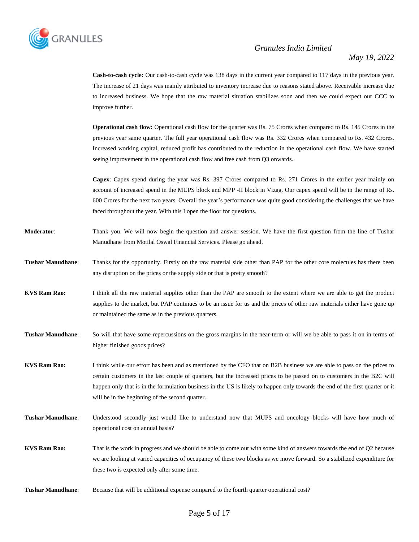

**Cash-to-cash cycle:** Our cash-to-cash cycle was 138 days in the current year compared to 117 days in the previous year. The increase of 21 days was mainly attributed to inventory increase due to reasons stated above. Receivable increase due to increased business. We hope that the raw material situation stabilizes soon and then we could expect our CCC to improve further.

**Operational cash flow:** Operational cash flow for the quarter was Rs. 75 Crores when compared to Rs. 145 Crores in the previous year same quarter. The full year operational cash flow was Rs. 332 Crores when compared to Rs. 432 Crores. Increased working capital, reduced profit has contributed to the reduction in the operational cash flow. We have started seeing improvement in the operational cash flow and free cash from Q3 onwards.

**Capex**: Capex spend during the year was Rs. 397 Crores compared to Rs. 271 Crores in the earlier year mainly on account of increased spend in the MUPS block and MPP -II block in Vizag. Our capex spend will be in the range of Rs. 600 Crores for the next two years. Overall the year's performance was quite good considering the challenges that we have faced throughout the year. With this I open the floor for questions.

- **Moderator**: Thank you. We will now begin the question and answer session. We have the first question from the line of Tushar Manudhane from Motilal Oswal Financial Services. Please go ahead.
- **Tushar Manudhane**: Thanks for the opportunity. Firstly on the raw material side other than PAP for the other core molecules has there been any disruption on the prices or the supply side or that is pretty smooth?
- **KVS Ram Rao:** I think all the raw material supplies other than the PAP are smooth to the extent where we are able to get the product supplies to the market, but PAP continues to be an issue for us and the prices of other raw materials either have gone up or maintained the same as in the previous quarters.
- **Tushar Manudhane**: So will that have some repercussions on the gross margins in the near-term or will we be able to pass it on in terms of higher finished goods prices?

**KVS Ram Rao:** I think while our effort has been and as mentioned by the CFO that on B2B business we are able to pass on the prices to certain customers in the last couple of quarters, but the increased prices to be passed on to customers in the B2C will happen only that is in the formulation business in the US is likely to happen only towards the end of the first quarter or it will be in the beginning of the second quarter.

**Tushar Manudhane**: Understood secondly just would like to understand now that MUPS and oncology blocks will have how much of operational cost on annual basis?

- **KVS Ram Rao:** That is the work in progress and we should be able to come out with some kind of answers towards the end of Q2 because we are looking at varied capacities of occupancy of these two blocks as we move forward. So a stabilized expenditure for these two is expected only after some time.
- **Tushar Manudhane**: Because that will be additional expense compared to the fourth quarter operational cost?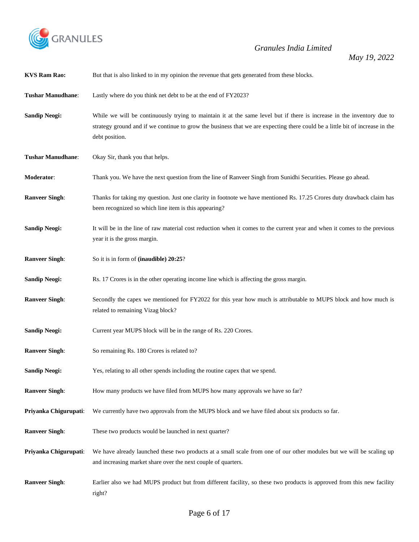

*May 19, 2022*

| <b>KVS Ram Rao:</b>      | But that is also linked to in my opinion the revenue that gets generated from these blocks.                                                                                                                                                                              |
|--------------------------|--------------------------------------------------------------------------------------------------------------------------------------------------------------------------------------------------------------------------------------------------------------------------|
| <b>Tushar Manudhane:</b> | Lastly where do you think net debt to be at the end of FY2023?                                                                                                                                                                                                           |
| <b>Sandip Neogi:</b>     | While we will be continuously trying to maintain it at the same level but if there is increase in the inventory due to<br>strategy ground and if we continue to grow the business that we are expecting there could be a little bit of increase in the<br>debt position. |
| <b>Tushar Manudhane:</b> | Okay Sir, thank you that helps.                                                                                                                                                                                                                                          |
| Moderator:               | Thank you. We have the next question from the line of Ranveer Singh from Sunidhi Securities. Please go ahead.                                                                                                                                                            |
| <b>Ranveer Singh:</b>    | Thanks for taking my question. Just one clarity in footnote we have mentioned Rs. 17.25 Crores duty drawback claim has<br>been recognized so which line item is this appearing?                                                                                          |
| <b>Sandip Neogi:</b>     | It will be in the line of raw material cost reduction when it comes to the current year and when it comes to the previous<br>year it is the gross margin.                                                                                                                |
| <b>Ranveer Singh:</b>    | So it is in form of (inaudible) 20:25?                                                                                                                                                                                                                                   |
| <b>Sandip Neogi:</b>     | Rs. 17 Crores is in the other operating income line which is affecting the gross margin.                                                                                                                                                                                 |
| <b>Ranveer Singh:</b>    | Secondly the capex we mentioned for FY2022 for this year how much is attributable to MUPS block and how much is<br>related to remaining Vizag block?                                                                                                                     |
| <b>Sandip Neogi:</b>     | Current year MUPS block will be in the range of Rs. 220 Crores.                                                                                                                                                                                                          |
| <b>Ranveer Singh:</b>    | So remaining Rs. 180 Crores is related to?                                                                                                                                                                                                                               |
| <b>Sandip Neogi:</b>     | Yes, relating to all other spends including the routine capex that we spend.                                                                                                                                                                                             |
| <b>Ranveer Singh:</b>    | How many products we have filed from MUPS how many approvals we have so far?                                                                                                                                                                                             |
| Priyanka Chigurupati:    | We currently have two approvals from the MUPS block and we have filed about six products so far.                                                                                                                                                                         |
| <b>Ranveer Singh:</b>    | These two products would be launched in next quarter?                                                                                                                                                                                                                    |
| Priyanka Chigurupati:    | We have already launched these two products at a small scale from one of our other modules but we will be scaling up<br>and increasing market share over the next couple of quarters.                                                                                    |
| <b>Ranveer Singh:</b>    | Earlier also we had MUPS product but from different facility, so these two products is approved from this new facility<br>right?                                                                                                                                         |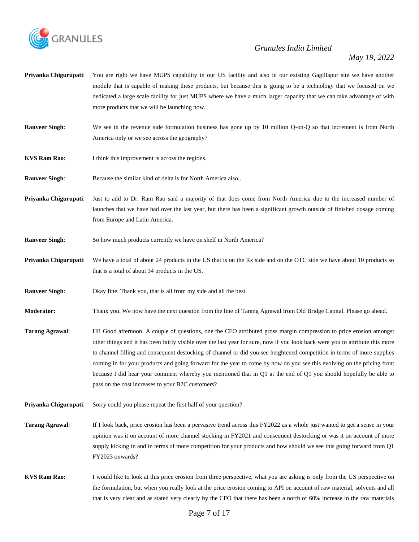

- **Priyanka Chigurupati:** You are right we have MUPS capability in our US facility and also in our existing Gagillapur site we have another module that is capable of making these products, but because this is going to be a technology that we focused on we dedicated a large scale facility for just MUPS where we have a much larger capacity that we can take advantage of with more products that we will be launching now.
- **Ranveer Singh:** We see in the revenue side formulation business has gone up by 10 million Q-on-Q so that increment is from North America only or we see across the geography?
- **KVS Ram Rao:** I think this improvement is across the regions.
- **Ranveer Singh:** Because the similar kind of delta is for North America also..
- **Priyanka Chigurupati**: Just to add to Dr. Ram Rao said a majority of that does come from North America due to the increased number of launches that we have had over the last year, but there has been a significant growth outside of finished dosage coming from Europe and Latin America.
- **Ranveer Singh:** So how much products currently we have on shelf in North America?
- **Priyanka Chigurupati**: We have a total of about 24 products in the US that is on the Rx side and on the OTC side we have about 10 products so that is a total of about 34 products in the US.
- **Ranveer Singh:** Okay fine. Thank you, that is all from my side and all the best.
- **Moderator:** Thank you. We now have the next question from the line of Tarang Agrawal from Old Bridge Capital. Please go ahead.
- **Tarang Agrawal**: Hi! Good afternoon. A couple of questions, one the CFO attributed gross margin compression to price erosion amongst other things and it has been fairly visible over the last year for sure, now if you look back were you to attribute this more to channel filling and consequent destocking of channel or did you see heightened competition in terms of more supplies coming in for your products and going forward for the year to come by how do you see this evolving on the pricing front because I did hear your comment whereby you mentioned that in Q1 at the end of Q1 you should hopefully be able to pass on the cost increases to your B2C customers?
- **Priyanka Chigurupati:** Sorry could you please repeat the first half of your question?
- **Tarang Agrawal**: If I look back, price erosion has been a pervasive trend across this FY2022 as a whole just wanted to get a sense in your opinion was it on account of more channel stocking in FY2021 and consequent destocking or was it on account of more supply kicking in and in terms of more competition for your products and how should we see this going forward from Q1 FY2023 onwards?
- **KVS Ram Rao:** I would like to look at this price erosion from three perspective, what you are asking is only from the US perspective on the formulation, but when you really look at the price erosion coming to API on account of raw material, solvents and all that is very clear and as stated very clearly by the CFO that there has been a north of 60% increase in the raw materials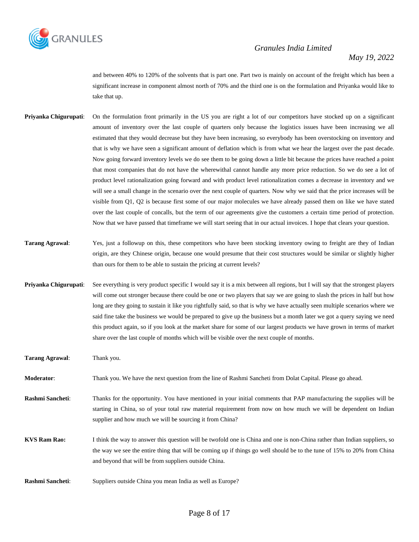

and between 40% to 120% of the solvents that is part one. Part two is mainly on account of the freight which has been a significant increase in component almost north of 70% and the third one is on the formulation and Priyanka would like to take that up.

- **Priyanka Chigurupati**: On the formulation front primarily in the US you are right a lot of our competitors have stocked up on a significant amount of inventory over the last couple of quarters only because the logistics issues have been increasing we all estimated that they would decrease but they have been increasing, so everybody has been overstocking on inventory and that is why we have seen a significant amount of deflation which is from what we hear the largest over the past decade. Now going forward inventory levels we do see them to be going down a little bit because the prices have reached a point that most companies that do not have the wherewithal cannot handle any more price reduction. So we do see a lot of product level rationalization going forward and with product level rationalization comes a decrease in inventory and we will see a small change in the scenario over the next couple of quarters. Now why we said that the price increases will be visible from Q1, Q2 is because first some of our major molecules we have already passed them on like we have stated over the last couple of concalls, but the term of our agreements give the customers a certain time period of protection. Now that we have passed that timeframe we will start seeing that in our actual invoices. I hope that clears your question.
- **Tarang Agrawal**: Yes, just a followup on this, these competitors who have been stocking inventory owing to freight are they of Indian origin, are they Chinese origin, because one would presume that their cost structures would be similar or slightly higher than ours for them to be able to sustain the pricing at current levels?
- **Priyanka Chigurupati**: See everything is very product specific I would say it is a mix between all regions, but I will say that the strongest players will come out stronger because there could be one or two players that say we are going to slash the prices in half but how long are they going to sustain it like you rightfully said, so that is why we have actually seen multiple scenarios where we said fine take the business we would be prepared to give up the business but a month later we got a query saying we need this product again, so if you look at the market share for some of our largest products we have grown in terms of market share over the last couple of months which will be visible over the next couple of months.
- **Tarang Agrawal**: Thank you.
- **Moderator**: Thank you. We have the next question from the line of Rashmi Sancheti from Dolat Capital. Please go ahead.
- **Rashmi Sancheti**: Thanks for the opportunity. You have mentioned in your initial comments that PAP manufacturing the supplies will be starting in China, so of your total raw material requirement from now on how much we will be dependent on Indian supplier and how much we will be sourcing it from China?
- **KVS Ram Rao:** I think the way to answer this question will be twofold one is China and one is non-China rather than Indian suppliers, so the way we see the entire thing that will be coming up if things go well should be to the tune of 15% to 20% from China and beyond that will be from suppliers outside China.
- **Rashmi Sancheti**: Suppliers outside China you mean India as well as Europe?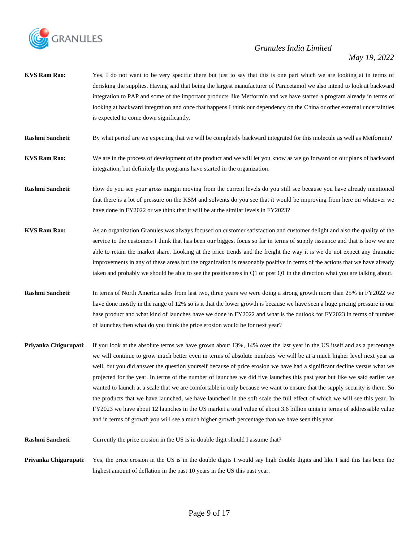

- **KVS Ram Rao:** Yes, I do not want to be very specific there but just to say that this is one part which we are looking at in terms of derisking the supplies. Having said that being the largest manufacturer of Paracetamol we also intend to look at backward integration to PAP and some of the important products like Metformin and we have started a program already in terms of looking at backward integration and once that happens I think our dependency on the China or other external uncertainties is expected to come down significantly.
- **Rashmi Sancheti:** By what period are we expecting that we will be completely backward integrated for this molecule as well as Metformin?
- **KVS Ram Rao:** We are in the process of development of the product and we will let you know as we go forward on our plans of backward integration, but definitely the programs have started in the organization.
- **Rashmi Sancheti**: How do you see your gross margin moving from the current levels do you still see because you have already mentioned that there is a lot of pressure on the KSM and solvents do you see that it would be improving from here on whatever we have done in FY2022 or we think that it will be at the similar levels in FY2023?
- **KVS Ram Rao:** As an organization Granules was always focused on customer satisfaction and customer delight and also the quality of the service to the customers I think that has been our biggest focus so far in terms of supply issuance and that is how we are able to retain the market share. Looking at the price trends and the freight the way it is we do not expect any dramatic improvements in any of these areas but the organization is reasonably positive in terms of the actions that we have already taken and probably we should be able to see the positiveness in Q1 or post Q1 in the direction what you are talking about.
- **Rashmi Sancheti**: In terms of North America sales from last two, three years we were doing a strong growth more than 25% in FY2022 we have done mostly in the range of 12% so is it that the lower growth is because we have seen a huge pricing pressure in our base product and what kind of launches have we done in FY2022 and what is the outlook for FY2023 in terms of number of launches then what do you think the price erosion would be for next year?
- **Priyanka Chigurupati**: If you look at the absolute terms we have grown about 13%, 14% over the last year in the US itself and as a percentage we will continue to grow much better even in terms of absolute numbers we will be at a much higher level next year as well, but you did answer the question yourself because of price erosion we have had a significant decline versus what we projected for the year. In terms of the number of launches we did five launches this past year but like we said earlier we wanted to launch at a scale that we are comfortable in only because we want to ensure that the supply security is there. So the products that we have launched, we have launched in the soft scale the full effect of which we will see this year. In FY2023 we have about 12 launches in the US market a total value of about 3.6 billion units in terms of addressable value and in terms of growth you will see a much higher growth percentage than we have seen this year.
- **Rashmi Sancheti:** Currently the price erosion in the US is in double digit should I assume that?
- **Priyanka Chigurupati**: Yes, the price erosion in the US is in the double digits I would say high double digits and like I said this has been the highest amount of deflation in the past 10 years in the US this past year.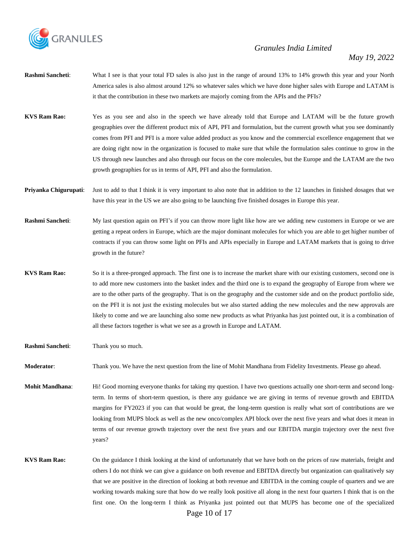

- **Rashmi Sancheti**: What I see is that your total FD sales is also just in the range of around 13% to 14% growth this year and your North America sales is also almost around 12% so whatever sales which we have done higher sales with Europe and LATAM is it that the contribution in these two markets are majorly coming from the APIs and the PFIs?
- **KVS Ram Rao:** Yes as you see and also in the speech we have already told that Europe and LATAM will be the future growth geographies over the different product mix of API, PFI and formulation, but the current growth what you see dominantly comes from PFI and PFI is a more value added product as you know and the commercial excellence engagement that we are doing right now in the organization is focused to make sure that while the formulation sales continue to grow in the US through new launches and also through our focus on the core molecules, but the Europe and the LATAM are the two growth geographies for us in terms of API, PFI and also the formulation.
- **Priyanka Chigurupati:** Just to add to that I think it is very important to also note that in addition to the 12 launches in finished dosages that we have this year in the US we are also going to be launching five finished dosages in Europe this year.
- **Rashmi Sancheti:** My last question again on PFI's if you can throw more light like how are we adding new customers in Europe or we are getting a repeat orders in Europe, which are the major dominant molecules for which you are able to get higher number of contracts if you can throw some light on PFIs and APIs especially in Europe and LATAM markets that is going to drive growth in the future?
- **KVS Ram Rao:** So it is a three-pronged approach. The first one is to increase the market share with our existing customers, second one is to add more new customers into the basket index and the third one is to expand the geography of Europe from where we are to the other parts of the geography. That is on the geography and the customer side and on the product portfolio side, on the PFI it is not just the existing molecules but we also started adding the new molecules and the new approvals are likely to come and we are launching also some new products as what Priyanka has just pointed out, it is a combination of all these factors together is what we see as a growth in Europe and LATAM.
- **Rashmi Sancheti**: Thank you so much.

**Moderator**: Thank you. We have the next question from the line of Mohit Mandhana from Fidelity Investments. Please go ahead.

- **Mohit Mandhana**: Hi! Good morning everyone thanks for taking my question. I have two questions actually one short-term and second longterm. In terms of short-term question, is there any guidance we are giving in terms of revenue growth and EBITDA margins for FY2023 if you can that would be great, the long-term question is really what sort of contributions are we looking from MUPS block as well as the new onco/complex API block over the next five years and what does it mean in terms of our revenue growth trajectory over the next five years and our EBITDA margin trajectory over the next five years?
- **KVS Ram Rao:** On the guidance I think looking at the kind of unfortunately that we have both on the prices of raw materials, freight and others I do not think we can give a guidance on both revenue and EBITDA directly but organization can qualitatively say that we are positive in the direction of looking at both revenue and EBITDA in the coming couple of quarters and we are working towards making sure that how do we really look positive all along in the next four quarters I think that is on the first one. On the long-term I think as Priyanka just pointed out that MUPS has become one of the specialized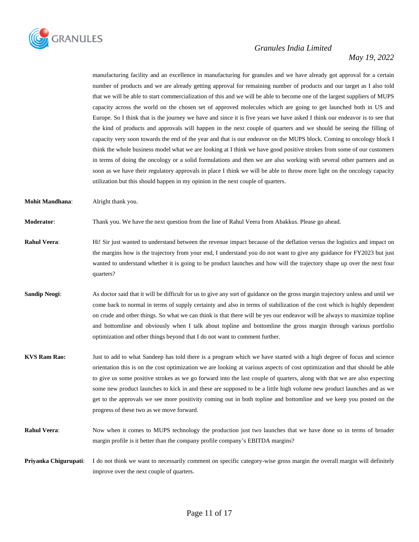

#### *May 19, 2022*

manufacturing facility and an excellence in manufacturing for granules and we have already got approval for a certain number of products and we are already getting approval for remaining number of products and our target as I also told that we will be able to start commercialization of this and we will be able to become one of the largest suppliers of MUPS capacity across the world on the chosen set of approved molecules which are going to get launched both in US and Europe. So I think that is the journey we have and since it is five years we have asked I think our endeavor is to see that the kind of products and approvals will happen in the next couple of quarters and we should be seeing the filling of capacity very soon towards the end of the year and that is our endeavor on the MUPS block. Coming to oncology block I think the whole business model what we are looking at I think we have good positive strokes from some of our customers in terms of doing the oncology or a solid formulations and then we are also working with several other partners and as soon as we have their regulatory approvals in place I think we will be able to throw more light on the oncology capacity utilization but this should happen in my opinion in the next couple of quarters.

**Mohit Mandhana**: Alright thank you.

**Moderator**: Thank you. We have the next question from the line of Rahul Veera from Abakkus. Please go ahead.

- **Rahul Veera:** Hi! Sir just wanted to understand between the revenue impact because of the deflation versus the logistics and impact on the margins how is the trajectory from your end, I understand you do not want to give any guidance for FY2023 but just wanted to understand whether it is going to be product launches and how will the trajectory shape up over the next four quarters?
- **Sandip Neogi:** As doctor said that it will be difficult for us to give any sort of guidance on the gross margin trajectory unless and until we come back to normal in terms of supply certainty and also in terms of stabilization of the cost which is highly dependent on crude and other things. So what we can think is that there will be yes our endeavor will be always to maximize topline and bottomline and obviously when I talk about topline and bottomline the gross margin through various portfolio optimization and other things beyond that I do not want to comment further.
- **KVS Ram Rao:** Just to add to what Sandeep has told there is a program which we have started with a high degree of focus and science orientation this is on the cost optimization we are looking at various aspects of cost optimization and that should be able to give us some positive strokes as we go forward into the last couple of quarters, along with that we are also expecting some new product launches to kick in and these are supposed to be a little high volume new product launches and as we get to the approvals we see more positivity coming out in both topline and bottomline and we keep you posted on the progress of these two as we move forward.
- **Rahul Veera:** Now when it comes to MUPS technology the production just two launches that we have done so in terms of broader margin profile is it better than the company profile company's EBITDA margins?

**Priyanka Chigurupati:** I do not think we want to necessarily comment on specific category-wise gross margin the overall margin will definitely improve over the next couple of quarters.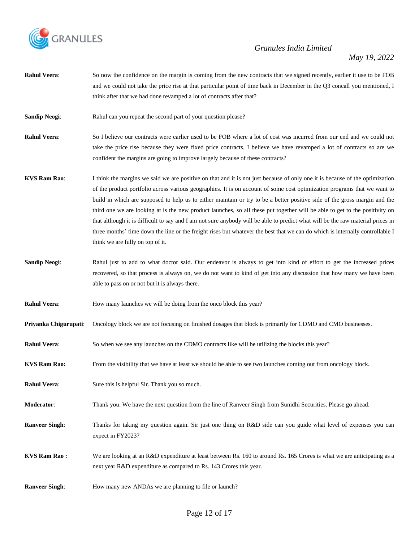

- **Rahul Veera**: So now the confidence on the margin is coming from the new contracts that we signed recently, earlier it use to be FOB and we could not take the price rise at that particular point of time back in December in the Q3 concall you mentioned, I think after that we had done revamped a lot of contracts after that?
- **Sandip Neogi:** Rahul can you repeat the second part of your question please?
- **Rahul Veera**: So I believe our contracts were earlier used to be FOB where a lot of cost was incurred from our end and we could not take the price rise because they were fixed price contracts, I believe we have revamped a lot of contracts so are we confident the margins are going to improve largely because of these contracts?
- **KVS Ram Rao:** I think the margins we said we are positive on that and it is not just because of only one it is because of the optimization of the product portfolio across various geographies. It is on account of some cost optimization programs that we want to build in which are supposed to help us to either maintain or try to be a better positive side of the gross margin and the third one we are looking at is the new product launches, so all these put together will be able to get to the positivity on that although it is difficult to say and I am not sure anybody will be able to predict what will be the raw material prices in three months' time down the line or the freight rises but whatever the best that we can do which is internally controllable I think we are fully on top of it.
- **Sandip Neogi**: Rahul just to add to what doctor said. Our endeavor is always to get into kind of effort to get the increased prices recovered, so that process is always on, we do not want to kind of get into any discussion that how many we have been able to pass on or not but it is always there.
- **Rahul Veera:** How many launches we will be doing from the onco block this year?
- **Priyanka Chigurupati**: Oncology block we are not focusing on finished dosages that block is primarily for CDMO and CMO businesses.
- **Rahul Veera:** So when we see any launches on the CDMO contracts like will be utilizing the blocks this year?
- **KVS Ram Rao:** From the visibility that we have at least we should be able to see two launches coming out from oncology block.
- **Rahul Veera:** Sure this is helpful Sir. Thank you so much.
- **Moderator**: Thank you. We have the next question from the line of Ranveer Singh from Sunidhi Securities. Please go ahead.
- **Ranveer Singh:** Thanks for taking my question again. Sir just one thing on R&D side can you guide what level of expenses you can expect in FY2023?
- **KVS Ram Rao :** We are looking at an R&D expenditure at least between Rs. 160 to around Rs. 165 Crores is what we are anticipating as a next year R&D expenditure as compared to Rs. 143 Crores this year.
- **Ranveer Singh:** How many new ANDAs we are planning to file or launch?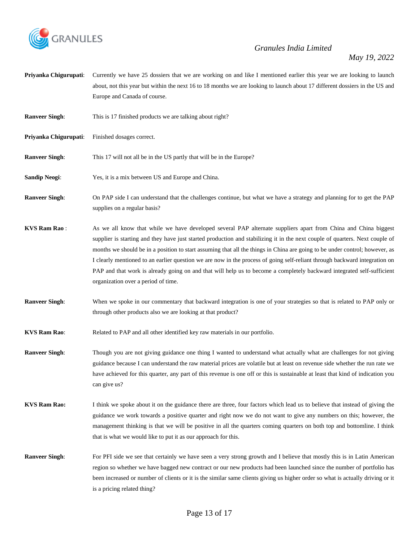

*May 19, 2022*

**Priyanka Chigurupati**: Currently we have 25 dossiers that we are working on and like I mentioned earlier this year we are looking to launch about, not this year but within the next 16 to 18 months we are looking to launch about 17 different dossiers in the US and Europe and Canada of course.

**Ranveer Singh:** This is 17 finished products we are talking about right?

- **Priyanka Chigurupati:** Finished dosages correct.
- **Ranveer Singh:** This 17 will not all be in the US partly that will be in the Europe?
- **Sandip Neogi:** Yes, it is a mix between US and Europe and China.
- **Ranveer Singh**: On PAP side I can understand that the challenges continue, but what we have a strategy and planning for to get the PAP supplies on a regular basis?
- **KVS Ram Rao :** As we all know that while we have developed several PAP alternate suppliers apart from China and China biggest supplier is starting and they have just started production and stabilizing it in the next couple of quarters. Next couple of months we should be in a position to start assuming that all the things in China are going to be under control; however, as I clearly mentioned to an earlier question we are now in the process of going self-reliant through backward integration on PAP and that work is already going on and that will help us to become a completely backward integrated self-sufficient organization over a period of time.
- **Ranveer Singh:** When we spoke in our commentary that backward integration is one of your strategies so that is related to PAP only or through other products also we are looking at that product?
- **KVS Ram Rao:** Related to PAP and all other identified key raw materials in our portfolio.
- **Ranveer Singh:** Though you are not giving guidance one thing I wanted to understand what actually what are challenges for not giving guidance because I can understand the raw material prices are volatile but at least on revenue side whether the run rate we have achieved for this quarter, any part of this revenue is one off or this is sustainable at least that kind of indication you can give us?
- **KVS Ram Rao:** I think we spoke about it on the guidance there are three, four factors which lead us to believe that instead of giving the guidance we work towards a positive quarter and right now we do not want to give any numbers on this; however, the management thinking is that we will be positive in all the quarters coming quarters on both top and bottomline. I think that is what we would like to put it as our approach for this.
- **Ranveer Singh:** For PFI side we see that certainly we have seen a very strong growth and I believe that mostly this is in Latin American region so whether we have bagged new contract or our new products had been launched since the number of portfolio has been increased or number of clients or it is the similar same clients giving us higher order so what is actually driving or it is a pricing related thing?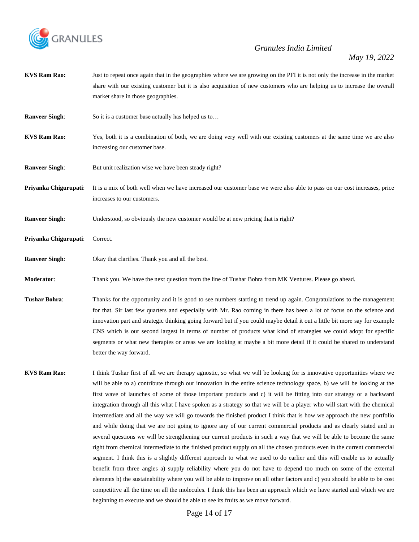

- **KVS Ram Rao:** Just to repeat once again that in the geographies where we are growing on the PFI it is not only the increase in the market share with our existing customer but it is also acquisition of new customers who are helping us to increase the overall market share in those geographies.
- **Ranveer Singh:** So it is a customer base actually has helped us to...
- **KVS Ram Rao:** Yes, both it is a combination of both, we are doing very well with our existing customers at the same time we are also increasing our customer base.
- **Ranveer Singh:** But unit realization wise we have been steady right?
- **Priyanka Chigurupati**: It is a mix of both well when we have increased our customer base we were also able to pass on our cost increases, price increases to our customers.
- **Ranveer Singh:** Understood, so obviously the new customer would be at new pricing that is right?
- **Priyanka Chigurupati**: Correct.
- **Ranveer Singh**: Okay that clarifies. Thank you and all the best.
- **Moderator**: Thank you. We have the next question from the line of Tushar Bohra from MK Ventures. Please go ahead.
- **Tushar Bohra:** Thanks for the opportunity and it is good to see numbers starting to trend up again. Congratulations to the management for that. Sir last few quarters and especially with Mr. Rao coming in there has been a lot of focus on the science and innovation part and strategic thinking going forward but if you could maybe detail it out a little bit more say for example CNS which is our second largest in terms of number of products what kind of strategies we could adopt for specific segments or what new therapies or areas we are looking at maybe a bit more detail if it could be shared to understand better the way forward.
- **KVS Ram Rao:** I think Tushar first of all we are therapy agnostic, so what we will be looking for is innovative opportunities where we will be able to a) contribute through our innovation in the entire science technology space, b) we will be looking at the first wave of launches of some of those important products and c) it will be fitting into our strategy or a backward integration through all this what I have spoken as a strategy so that we will be a player who will start with the chemical intermediate and all the way we will go towards the finished product I think that is how we approach the new portfolio and while doing that we are not going to ignore any of our current commercial products and as clearly stated and in several questions we will be strengthening our current products in such a way that we will be able to become the same right from chemical intermediate to the finished product supply on all the chosen products even in the current commercial segment. I think this is a slightly different approach to what we used to do earlier and this will enable us to actually benefit from three angles a) supply reliability where you do not have to depend too much on some of the external elements b) the sustainability where you will be able to improve on all other factors and c) you should be able to be cost competitive all the time on all the molecules. I think this has been an approach which we have started and which we are beginning to execute and we should be able to see its fruits as we move forward.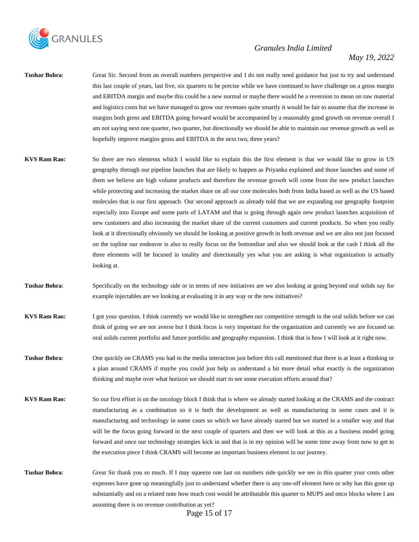

#### *May 19, 2022*

- **Tushar Bohra**: Great Sir. Second from an overall numbers perspective and I do not really need guidance but just to try and understand this last couple of years, last five, six quarters to be precise while we have continued to have challenge on a gross margin and EBITDA margin and maybe this could be a new normal or maybe there would be a reversion to mean on raw material and logistics costs but we have managed to grow our revenues quite smartly it would be fair to assume that the increase in margins both gross and EBITDA going forward would be accompanied by a reasonably good growth on revenue overall I am not saying next one quarter, two quarter, but directionally we should be able to maintain our revenue growth as well as hopefully improve margins gross and EBITDA in the next two, three years?
- **KVS Ram Rao:** So there are two elements which I would like to explain this the first element is that we would like to grow in US geography through our pipeline launches that are likely to happen as Priyanka explained and those launches and some of them we believe are high volume products and therefore the revenue growth will come from the new product launches while protecting and increasing the market share on all our core molecules both from India based as well as the US based molecules that is our first approach. Our second approach as already told that we are expanding our geography footprint especially into Europe and some parts of LATAM and that is going through again new product launches acquisition of new customers and also increasing the market share of the current customers and current products. So when you really look at it directionally obviously we should be looking at positive growth in both revenue and we are also not just focused on the topline our endeavor is also to really focus on the bottomline and also we should look at the cash I think all the three elements will be focused in totality and directionally yes what you are asking is what organization is actually looking at.
- **Tushar Bohra:** Specifically on the technology side or in terms of new initiatives are we also looking at going beyond oral solids say for example injectables are we looking at evaluating it in any way or the new initiatives?
- **KVS Ram Rao:** I got your question. I think currently we would like to strengthen our competitive strength in the oral solids before we can think of going we are not averse but I think focus is very important for the organization and currently we are focused on oral solids current portfolio and future portfolio and geography expansion. I think that is how I will look at it right now.
- **Tushar Bohra**: One quickly on CRAMS you had in the media interaction just before this call mentioned that there is at least a thinking or a plan around CRAMS if maybe you could just help us understand a bit more detail what exactly is the organization thinking and maybe over what horizon we should start to see some execution efforts around that?
- **KVS Ram Rao:** So our first effort is on the oncology block I think that is where we already started looking at the CRAMS and the contract manufacturing as a combination so it is both the development as well as manufacturing in some cases and it is manufacturing and technology in some cases so which we have already started but we started in a smaller way and that will be the focus going forward in the next couple of quarters and then we will look at this as a business model going forward and once our technology strategies kick in and that is in my opinion will be some time away from now to get to the execution piece I think CRAMS will become an important business element in our journey.
- **Tushar Bohra:** Great Sir thank you so much. If I may squeeze one last on numbers side quickly we see in this quarter your costs other expenses have gone up meaningfully just to understand whether there is any one-off element here or why has this gone up substantially and on a related note how much cost would be attributable this quarter to MUPS and onco blocks where I am assuming there is no revenue contribution as yet?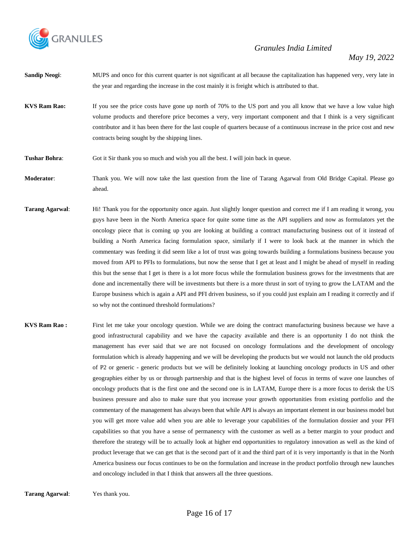

- **Sandip Neogi:** MUPS and onco for this current quarter is not significant at all because the capitalization has happened very, very late in the year and regarding the increase in the cost mainly it is freight which is attributed to that.
- **KVS Ram Rao:** If you see the price costs have gone up north of 70% to the US port and you all know that we have a low value high volume products and therefore price becomes a very, very important component and that I think is a very significant contributor and it has been there for the last couple of quarters because of a continuous increase in the price cost and new contracts being sought by the shipping lines.
- **Tushar Bohra**: Got it Sir thank you so much and wish you all the best. I will join back in queue.
- **Moderator**: Thank you. We will now take the last question from the line of Tarang Agarwal from Old Bridge Capital. Please go ahead.
- **Tarang Agarwal:** Hi! Thank you for the opportunity once again. Just slightly longer question and correct me if I am reading it wrong, you guys have been in the North America space for quite some time as the API suppliers and now as formulators yet the oncology piece that is coming up you are looking at building a contract manufacturing business out of it instead of building a North America facing formulation space, similarly if I were to look back at the manner in which the commentary was feeding it did seem like a lot of trust was going towards building a formulations business because you moved from API to PFIs to formulations, but now the sense that I get at least and I might be ahead of myself in reading this but the sense that I get is there is a lot more focus while the formulation business grows for the investments that are done and incrementally there will be investments but there is a more thrust in sort of trying to grow the LATAM and the Europe business which is again a API and PFI driven business, so if you could just explain am I reading it correctly and if so why not the continued threshold formulations?
- **KVS Ram Rao :** First let me take your oncology question. While we are doing the contract manufacturing business because we have a good infrastructural capability and we have the capacity available and there is an opportunity I do not think the management has ever said that we are not focused on oncology formulations and the development of oncology formulation which is already happening and we will be developing the products but we would not launch the old products of P2 or generic - generic products but we will be definitely looking at launching oncology products in US and other geographies either by us or through partnership and that is the highest level of focus in terms of wave one launches of oncology products that is the first one and the second one is in LATAM, Europe there is a more focus to derisk the US business pressure and also to make sure that you increase your growth opportunities from existing portfolio and the commentary of the management has always been that while API is always an important element in our business model but you will get more value add when you are able to leverage your capabilities of the formulation dossier and your PFI capabilities so that you have a sense of permanency with the customer as well as a better margin to your product and therefore the strategy will be to actually look at higher end opportunities to regulatory innovation as well as the kind of product leverage that we can get that is the second part of it and the third part of it is very importantly is that in the North America business our focus continues to be on the formulation and increase in the product portfolio through new launches and oncology included in that I think that answers all the three questions.
- **Tarang Agarwal**: Yes thank you.